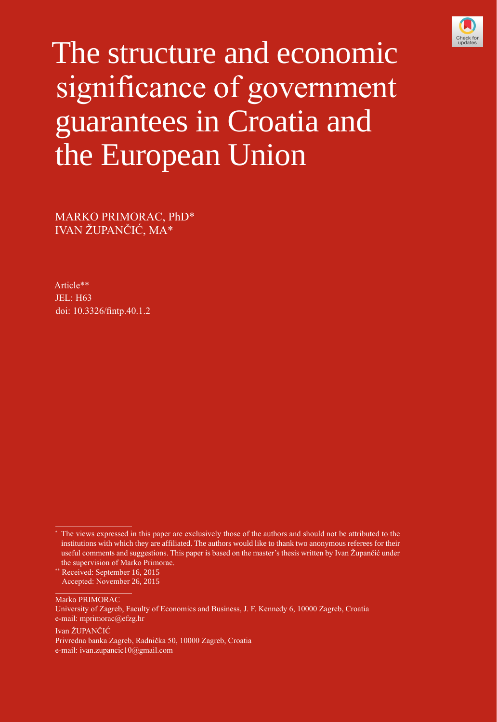

# The structure and economic significance of government guarantees in Croatia and the European Union

MARKO PRIMORAC, PhD\* IVAN ŽUPANČIĆ, MA\*

Article\*\* JEL: H63 doi: [10.3326/fintp.40.1.2](http://dx.doi.org/10.3326/fintp.40.1.2)

\*\* Received: September 16, 2015

Marko PRIMORAC

Ivan ŽUPANČIĆ

<sup>\*</sup> The views expressed in this paper are exclusively those of the authors and should not be attributed to the institutions with which they are affiliated. The authors would like to thank two anonymous referees for their useful comments and suggestions. This paper is based on the master's thesis written by Ivan Župančić under the supervision of Marko Primorac.

Accepted: November 26, 2015

University of Zagreb, Faculty of Economics and Business, J. F. Kennedy 6, 10000 Zagreb, Croatia e-mail: [mprimorac@efzg.hr](mailto:mprimorac@efzg.hr)

Privredna banka Zagreb, Radnička 50, 10000 Zagreb, Croatia e-mail: [ivan.zupancic10@gmail.com](mailto:ivan.zupancic10@gmail.com)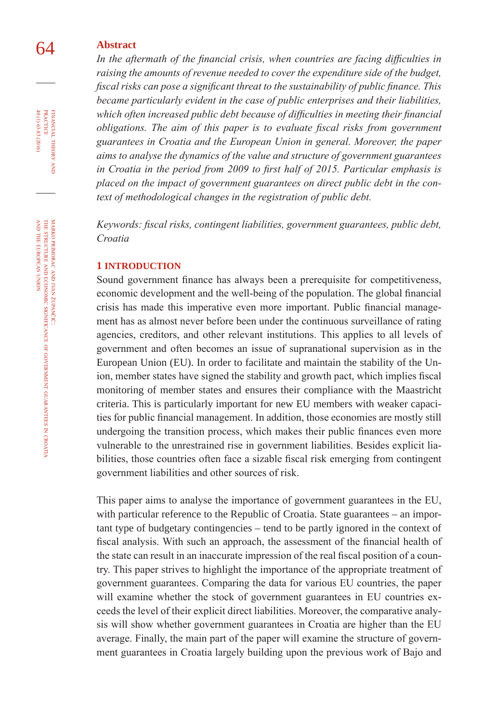## 64 **abstract**

In the aftermath of the financial crisis, when countries are facing difficulties in raising the amounts of revenue needed to cover the expenditure side of the budget, *fiscal risks can pose a significant threat to the sustainability of public finance. This became particularly evident in the case of public enterprises and their liabilities, which often increased public debt because of difficulties in meeting their financial obligations. The aim of this paper is to evaluate fiscal risks from government guarantees in Croatia and the European Union in general. Moreover, the paper aims to analyse the dynamics of the value and structure of government guarantees in Croatia in the period from 2009 to first half of 2015. Particular emphasis is placed on the impact of government guarantees on direct public debt in the context of methodological changes in the registration of public debt.* 

*Keywords: fiscal risks, contingent liabilities, government guarantees, public debt, Croatia*

#### **1 IntRoDUctIon**

Sound government finance has always been a prerequisite for competitiveness, economic development and the well-being of the population. The global financial crisis has made this imperative even more important. Public financial management has as almost never before been under the continuous surveillance of rating agencies, creditors, and other relevant institutions. This applies to all levels of government and often becomes an issue of supranational supervision as in the European Union (EU). In order to facilitate and maintain the stability of the Union, member states have signed the stability and growth pact, which implies fiscal monitoring of member states and ensures their compliance with the Maastricht criteria. This is particularly important for new EU members with weaker capacities for public financial management. In addition, those economies are mostly still undergoing the transition process, which makes their public finances even more vulnerable to the unrestrained rise in government liabilities. Besides explicit liabilities, those countries often face a sizable fiscal risk emerging from contingent government liabilities and other sources of risk.

This paper aims to analyse the importance of government guarantees in the EU, with particular reference to the Republic of Croatia. State guarantees – an important type of budgetary contingencies – tend to be partly ignored in the context of fiscal analysis. With such an approach, the assessment of the financial health of the state can result in an inaccurate impression of the real fiscal position of a country. This paper strives to highlight the importance of the appropriate treatment of government guarantees. Comparing the data for various EU countries, the paper will examine whether the stock of government guarantees in EU countries exceeds the level of their explicit direct liabilities. Moreover, the comparative analysis will show whether government guarantees in Croatia are higher than the EU average. Finally, the main part of the paper will examine the structure of government guarantees in Croatia largely building upon the previous work of Bajo and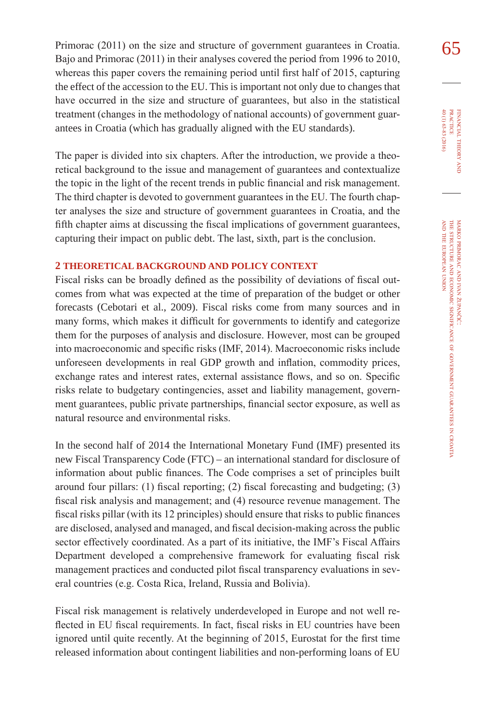Primorac (2011) on the size and structure of government guarantees in Croatia.  $\overline{65}$ Bajo and Primorac (2011) in their analyses covered the period from 1996 to 2010, whereas this paper covers the remaining period until first half of 2015, capturing the effect of the accession to the EU. This is important not only due to changes that have occurred in the size and structure of guarantees, but also in the statistical treatment (changes in the methodology of national accounts) of government guarantees in Croatia (which has gradually aligned with the EU standards).

The paper is divided into six chapters. After the introduction, we provide a theoretical background to the issue and management of guarantees and contextualize the topic in the light of the recent trends in public financial and risk management. The third chapter is devoted to government guarantees in the EU. The fourth chapter analyses the size and structure of government guarantees in Croatia, and the fifth chapter aims at discussing the fiscal implications of government guarantees, capturing their impact on public debt. The last, sixth, part is the conclusion.

#### **2 tHeoRetIcal bacKGRoUnD anD PolIcY conteXt**

Fiscal risks can be broadly defined as the possibility of deviations of fiscal outcomes from what was expected at the time of preparation of the budget or other forecasts (Cebotari et al., 2009). Fiscal risks come from many sources and in many forms, which makes it difficult for governments to identify and categorize them for the purposes of analysis and disclosure. However, most can be grouped into macroeconomic and specific risks (IMF, 2014). Macroeconomic risks include unforeseen developments in real GDP growth and inflation, commodity prices, exchange rates and interest rates, external assistance flows, and so on. Specific risks relate to budgetary contingencies, asset and liability management, government guarantees, public private partnerships, financial sector exposure, as well as natural resource and environmental risks.

In the second half of 2014 the International Monetary Fund (IMF) presented its new Fiscal Transparency Code (FTC) – an international standard for disclosure of information about public finances. The Code comprises a set of principles built around four pillars: (1) fiscal reporting; (2) fiscal forecasting and budgeting; (3) fiscal risk analysis and management; and (4) resource revenue management. The fiscal risks pillar (with its 12 principles) should ensure that risks to public finances are disclosed, analysed and managed, and fiscal decision-making across the public sector effectively coordinated. As a part of its initiative, the IMF's Fiscal Affairs Department developed a comprehensive framework for evaluating fiscal risk management practices and conducted pilot fiscal transparency evaluations in several countries (e.g. Costa Rica, Ireland, Russia and Bolivia).

Fiscal risk management is relatively underdeveloped in Europe and not well reflected in EU fiscal requirements. In fact, fiscal risks in EU countries have been ignored until quite recently. At the beginning of 2015, Eurostat for the first time released information about contingent liabilities and non-performing loans of EU financial

 $40(1)$  63-83 (2016)

theory FINANCIAL THEORY AND PRACTICE 40 (1) 63-83 (2016) practice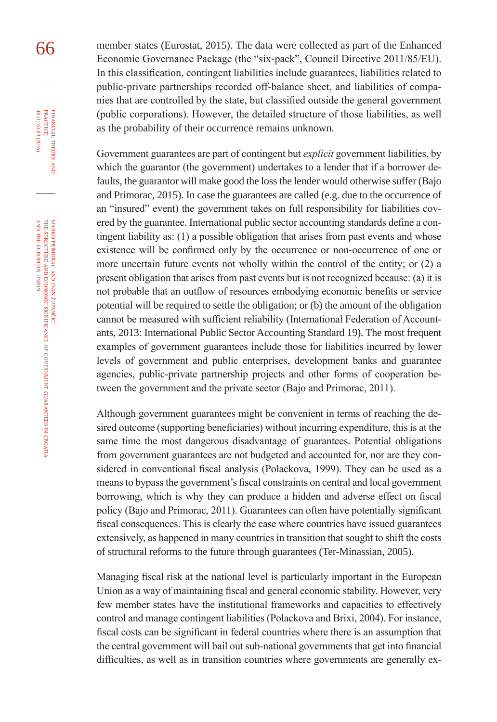66 member states (Eurostat, 2015). The data were collected as part of the Enhanced Economic Governance Package (the "six-pack", Council Directive 2011/85/EU). In this classification, contingent liabilities include guarantees, liabilities related to public-private partnerships recorded off-balance sheet, and liabilities of companies that are controlled by the state, but classified outside the general government (public corporations). However, the detailed structure of those liabilities, as well as the probability of their occurrence remains unknown.

> Government guarantees are part of contingent but *explicit* government liabilities, by which the guarantor (the government) undertakes to a lender that if a borrower defaults, the guarantor will make good the loss the lender would otherwise suffer (Bajo and Primorac, 2015). In case the guarantees are called (e.g. due to the occurrence of an "insured" event) the government takes on full responsibility for liabilities covered by the guarantee. International public sector accounting standards define a contingent liability as: (1) a possible obligation that arises from past events and whose existence will be confirmed only by the occurrence or non-occurrence of one or more uncertain future events not wholly within the control of the entity; or (2) a present obligation that arises from past events but is not recognized because: (a) it is not probable that an outflow of resources embodying economic benefits or service potential will be required to settle the obligation; or (b) the amount of the obligation cannot be measured with sufficient reliability (International Federation of Accountants, 2013: International Public Sector Accounting Standard 19). The most frequent examples of government guarantees include those for liabilities incurred by lower levels of government and public enterprises, development banks and guarantee agencies, public-private partnership projects and other forms of cooperation between the government and the private sector (Bajo and Primorac, 2011).

> Although government guarantees might be convenient in terms of reaching the desired outcome (supporting beneficiaries) without incurring expenditure, this is at the same time the most dangerous disadvantage of guarantees. Potential obligations from government guarantees are not budgeted and accounted for, nor are they considered in conventional fiscal analysis (Polackova, 1999). They can be used as a means to bypass the government's fiscal constraints on central and local government borrowing, which is why they can produce a hidden and adverse effect on fiscal policy (Bajo and Primorac, 2011). Guarantees can often have potentially significant fiscal consequences. This is clearly the case where countries have issued guarantees extensively, as happened in many countries in transition that sought to shift the costs of structural reforms to the future through guarantees (Ter-Minassian, 2005).

> Managing fiscal risk at the national level is particularly important in the European Union as a way of maintaining fiscal and general economic stability. However, very few member states have the institutional frameworks and capacities to effectively control and manage contingent liabilities (Polackova and Brixi, 2004). For instance, fiscal costs can be significant in federal countries where there is an assumption that the central government will bail out sub-national governments that get into financial difficulties, as well as in transition countries where governments are generally ex-

financial

FINANCIAL THEORY<br>PRACTICE 40 (1) 63-83 (2016)

40 (1) 63-83 (2016) practice

theory

z croatia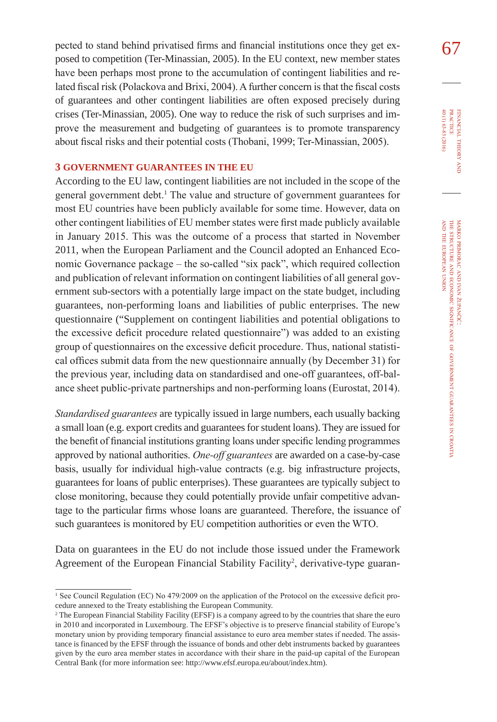pected to stand behind privatised firms and financial institutions once they get ex- $\overline{67}$ posed to competition (Ter-Minassian, 2005). In the EU context, new member states have been perhaps most prone to the accumulation of contingent liabilities and related fiscal risk (Polackova and Brixi, 2004). A further concern is that the fiscal costs of guarantees and other contingent liabilities are often exposed precisely during crises (Ter-Minassian, 2005). One way to reduce the risk of such surprises and improve the measurement and budgeting of guarantees is to promote transparency about fiscal risks and their potential costs (Thobani, 1999; Ter-Minassian, 2005).

#### **3 GoVeRnMent GUaRantees In tHe eU**

According to the EU law, contingent liabilities are not included in the scope of the general government debt.<sup>1</sup> The value and structure of government guarantees for most EU countries have been publicly available for some time. However, data on other contingent liabilities of EU member states were first made publicly available in January 2015. This was the outcome of a process that started in November 2011, when the European Parliament and the Council adopted an Enhanced Economic Governance package – the so-called "six pack", which required collection and publication of relevant information on contingent liabilities of all general government sub-sectors with a potentially large impact on the state budget, including guarantees, non-performing loans and liabilities of public enterprises. The new questionnaire ("Supplement on contingent liabilities and potential obligations to the excessive deficit procedure related questionnaire") was added to an existing group of questionnaires on the excessive deficit procedure. Thus, national statistical offices submit data from the new questionnaire annually (by December 31) for the previous year, including data on standardised and one-off guarantees, off-balance sheet public-private partnerships and non-performing loans (Eurostat, 2014).

*Standardised guarantees* are typically issued in large numbers, each usually backing a small loan (e.g. export credits and guarantees for student loans). They are issued for the benefit of financial institutions granting loans under specific lending programmes approved by national authorities. *One-off guarantees* are awarded on a case-by-case basis, usually for individual high-value contracts (e.g. big infrastructure projects, guarantees for loans of public enterprises). These guarantees are typically subject to close monitoring, because they could potentially provide unfair competitive advantage to the particular firms whose loans are guaranteed. Therefore, the issuance of such guarantees is monitored by EU competition authorities or even the WTO.

Data on guarantees in the EU do not include those issued under the Framework Agreement of the European Financial Stability Facility<sup>2</sup>, derivative-type guaran40 (1) 63-83 (2016)

<sup>&</sup>lt;sup>1</sup> See Council Regulation (EC) No 479/2009 on the application of the Protocol on the excessive deficit procedure annexed to the Treaty establishing the European Community.

<sup>2</sup> The European Financial Stability Facility (EFSF) is a company agreed to by the countries that share the euro in 2010 and incorporated in Luxembourg. The EFSF's objective is to preserve financial stability of Europe's monetary union by providing temporary financial assistance to euro area member states if needed. The assistance is financed by the EFSF through the issuance of bonds and other debt instruments backed by guarantees given by the euro area member states in accordance with their share in the paid-up capital of the European Central Bank (for more information see: [http://www.efsf.europa.eu/about/index.htm\)](http://www.efsf.europa.eu/about/index.htm).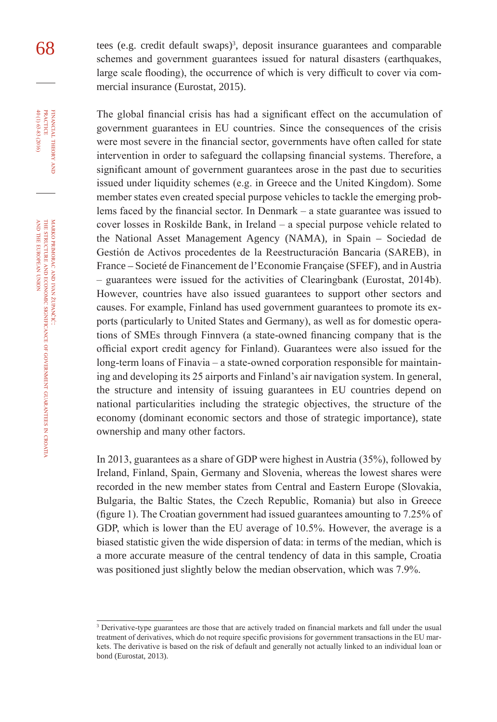68 tees (e.g. credit default swaps)<sup>3</sup>, deposit insurance guarantees and comparable<br>schemes and government guarantees issued for natural disasters (earthquakes) schemes and government guarantees issued for natural disasters (earthquakes, large scale flooding), the occurrence of which is very difficult to cover via commercial insurance (Eurostat, 2015).

> The global financial crisis has had a significant effect on the accumulation of government guarantees in EU countries. Since the consequences of the crisis were most severe in the financial sector, governments have often called for state intervention in order to safeguard the collapsing financial systems. Therefore, a significant amount of government guarantees arose in the past due to securities issued under liquidity schemes (e.g. in Greece and the United Kingdom). Some member states even created special purpose vehicles to tackle the emerging problems faced by the financial sector. In Denmark – a state guarantee was issued to cover losses in Roskilde Bank, in Ireland – a special purpose vehicle related to the National Asset Management Agency (NAMA), in Spain – Sociedad de Gestión de Activos procedentes de la Reestructuración Bancaria (SAREB), in France – Societé de Financement de l'Economie Française (SFEF), and in Austria – guarantees were issued for the activities of Clearingbank (Eurostat, 2014b). However, countries have also issued guarantees to support other sectors and causes. For example, Finland has used government guarantees to promote its exports (particularly to United States and Germany), as well as for domestic operations of SMEs through Finnvera (a state-owned financing company that is the official export credit agency for Finland). Guarantees were also issued for the long-term loans of Finavia – a state-owned corporation responsible for maintaining and developing its 25 airports and Finland's air navigation system. In general, the structure and intensity of issuing guarantees in EU countries depend on national particularities including the strategic objectives, the structure of the economy (dominant economic sectors and those of strategic importance), state ownership and many other factors.

> In 2013, guarantees as a share of GDP were highest in Austria (35%), followed by Ireland, Finland, Spain, Germany and Slovenia, whereas the lowest shares were recorded in the new member states from Central and Eastern Europe (Slovakia, Bulgaria, the Baltic States, the Czech Republic, Romania) but also in Greece (figure 1). The Croatian government had issued guarantees amounting to 7.25% of GDP, which is lower than the EU average of 10.5%. However, the average is a biased statistic given the wide dispersion of data: in terms of the median, which is a more accurate measure of the central tendency of data in this sample, Croatia was positioned just slightly below the median observation, which was 7.9%.

financial

FINANCIAL THEORY<br>PRACTICE 40 (1) 63-83 (2016)

40 (1) 63-83 (2016) practice

<sup>&</sup>lt;sup>3</sup> Derivative-type guarantees are those that are actively traded on financial markets and fall under the usual treatment of derivatives, which do not require specific provisions for government transactions in the EU markets. The derivative is based on the risk of default and generally not actually linked to an individual loan or bond (Eurostat, 2013).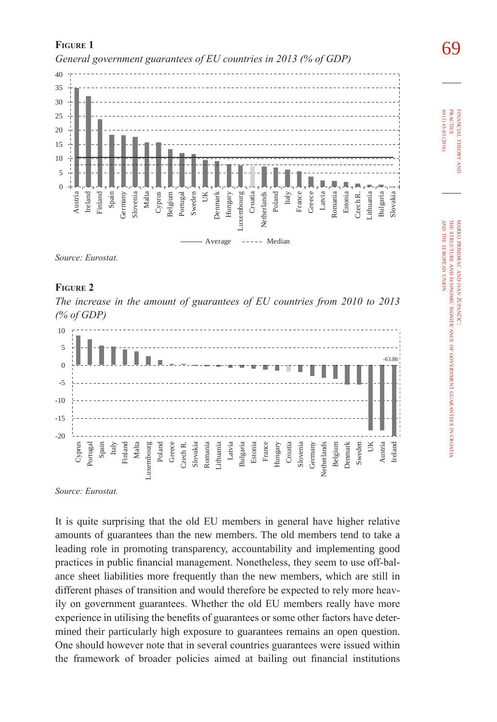

*Source: Eurostat.*



*The increase in the amount of guarantees of EU countries from 2010 to 2013 (% of GDP)*



*Source: Eurostat.*

It is quite surprising that the old EU members in general have higher relative amounts of guarantees than the new members. The old members tend to take a leading role in promoting transparency, accountability and implementing good practices in public financial management. Nonetheless, they seem to use off-balance sheet liabilities more frequently than the new members, which are still in different phases of transition and would therefore be expected to rely more heavily on government guarantees. Whether the old EU members really have more experience in utilising the benefits of guarantees or some other factors have determined their particularly high exposure to guarantees remains an open question. One should however note that in several countries guarantees were issued within the framework of broader policies aimed at bailing out financial institutions

**FIGURE 1**<br> *General government guarantees of EU countries in 2013 (% of GDP)* 

40 (1) 63-83 (2016) 40 (1) 63-83 (2016) **PRACTICE** practice FINANCIAL THEORY financial theory

and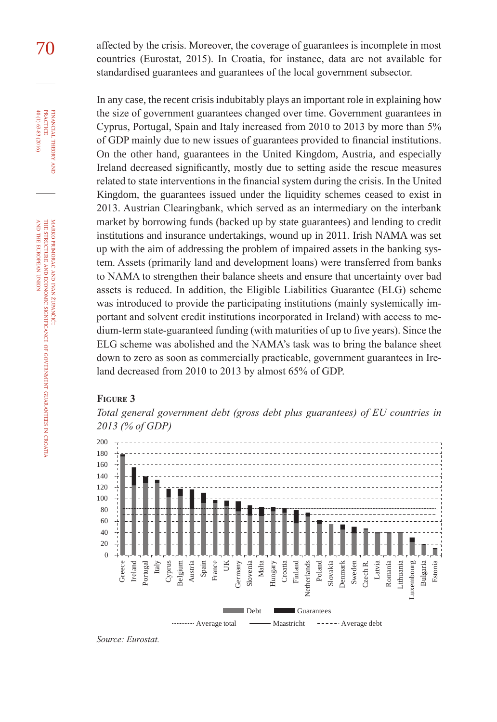70 affected by the crisis. Moreover, the coverage of guarantees is incomplete in most countries (Eurostat, 2015). In Croatia, for instance, data are not available for standardised guarantees and guarantees of the local government subsector.

> In any case, the recent crisis indubitably plays an important role in explaining how the size of government guarantees changed over time. Government guarantees in Cyprus, Portugal, Spain and Italy increased from 2010 to 2013 by more than 5% of GDP mainly due to new issues of guarantees provided to financial institutions. On the other hand, guarantees in the United Kingdom, Austria, and especially Ireland decreased significantly, mostly due to setting aside the rescue measures related to state interventions in the financial system during the crisis. In the United Kingdom, the guarantees issued under the liquidity schemes ceased to exist in 2013. Austrian Clearingbank, which served as an intermediary on the interbank market by borrowing funds (backed up by state guarantees) and lending to credit institutions and insurance undertakings, wound up in 2011. Irish NAMA was set up with the aim of addressing the problem of impaired assets in the banking system. Assets (primarily land and development loans) were transferred from banks to NAMA to strengthen their balance sheets and ensure that uncertainty over bad assets is reduced. In addition, the Eligible Liabilities Guarantee (ELG) scheme was introduced to provide the participating institutions (mainly systemically important and solvent credit institutions incorporated in Ireland) with access to medium-term state-guaranteed funding (with maturities of up to five years). Since the ELG scheme was abolished and the NAMA's task was to bring the balance sheet down to zero as soon as commercially practicable, government guarantees in Ireland decreased from 2010 to 2013 by almost 65% of GDP.

#### **Figure 3**



*Total general government debt (gross debt plus guarantees) of EU countries in 2013 (% of GDP)*

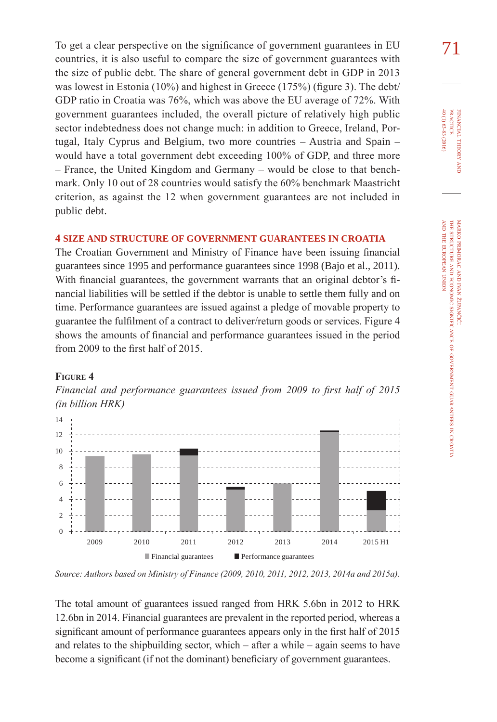To get a clear perspective on the significance of government guarantees in EU  $71$ countries, it is also useful to compare the size of government guarantees with the size of public debt. The share of general government debt in GDP in 2013 was lowest in Estonia (10%) and highest in Greece (175%) (figure 3). The debt/ GDP ratio in Croatia was 76%, which was above the EU average of 72%. With government guarantees included, the overall picture of relatively high public sector indebtedness does not change much: in addition to Greece, Ireland, Portugal, Italy Cyprus and Belgium, two more countries – Austria and Spain – would have a total government debt exceeding 100% of GDP, and three more – France, the United Kingdom and Germany – would be close to that benchmark. Only 10 out of 28 countries would satisfy the 60% benchmark Maastricht criterion, as against the 12 when government guarantees are not included in public debt.

#### **4 sIze anD stRUctURe of GoVeRnMent GUaRantees In cRoatIa**

The Croatian Government and Ministry of Finance have been issuing financial guarantees since 1995 and performance guarantees since 1998 (Bajo et al., 2011). With financial guarantees, the government warrants that an original debtor's financial liabilities will be settled if the debtor is unable to settle them fully and on time. Performance guarantees are issued against a pledge of movable property to guarantee the fulfilment of a contract to deliver/return goods or services. Figure 4 shows the amounts of financial and performance guarantees issued in the period from 2009 to the first half of 2015.

#### **Figure 4**

*Financial and performance guarantees issued from 2009 to first half of 2015 (in billion HRK)*



*Source: Authors based on Ministry of Finance (2009, 2010, 2011, 2012, 2013, 2014a and 2015a).*

The total amount of guarantees issued ranged from HRK 5.6bn in 2012 to HRK 12.6bn in 2014. Financial guarantees are prevalent in the reported period, whereas a significant amount of performance guarantees appears only in the first half of 2015 and relates to the shipbuilding sector, which – after a while – again seems to have become a significant (if not the dominant) beneficiary of government guarantees.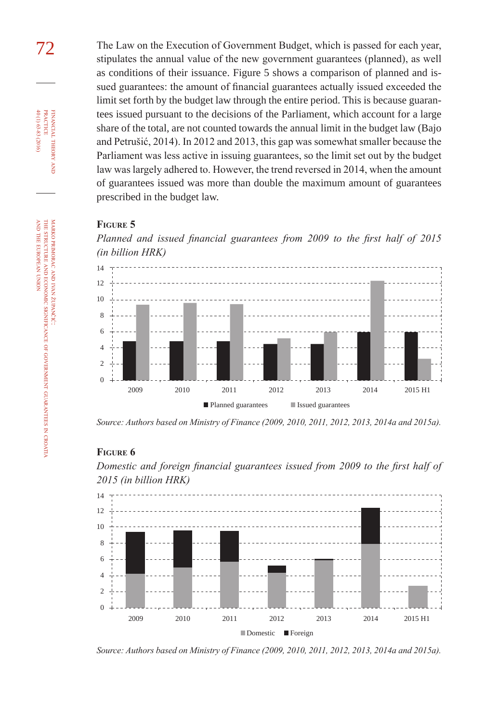72 The Law on the Execution of Government Budget, which is passed for each year, stipulates the annual value of the new government guarantees (planned), as well as conditions of their issuance. Figure 5 shows a comparison of planned and issued guarantees: the amount of financial guarantees actually issued exceeded the limit set forth by the budget law through the entire period. This is because guarantees issued pursuant to the decisions of the Parliament, which account for a large share of the total, are not counted towards the annual limit in the budget law (Bajo and Petrušić, 2014). In 2012 and 2013, this gap was somewhat smaller because the Parliament was less active in issuing guarantees, so the limit set out by the budget law was largely adhered to. However, the trend reversed in 2014, when the amount of guarantees issued was more than double the maximum amount of guarantees prescribed in the budget law.

#### **Figure 5**

*Planned and issued financial guarantees from 2009 to the first half of 2015 (in billion HRK)*



*Source: Authors based on Ministry of Finance (2009, 2010, 2011, 2012, 2013, 2014a and 2015a).*

#### **Figure 6**

*Domestic and foreign financial guarantees issued from 2009 to the first half of 2015 (in billion HRK)*



*Source: Authors based on Ministry of Finance (2009, 2010, 2011, 2012, 2013, 2014a and 2015a).*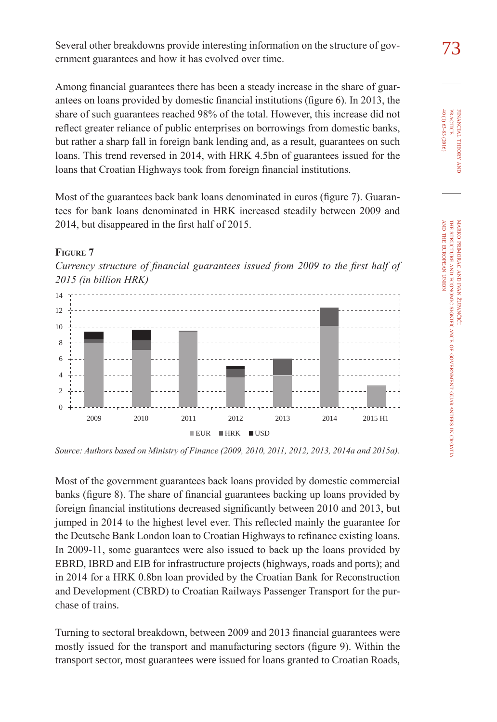Several other breakdowns provide interesting information on the structure of gov-<br>
73 ernment guarantees and how it has evolved over time.

Among financial guarantees there has been a steady increase in the share of guarantees on loans provided by domestic financial institutions (figure 6). In 2013, the share of such guarantees reached 98% of the total. However, this increase did not reflect greater reliance of public enterprises on borrowings from domestic banks, but rather a sharp fall in foreign bank lending and, as a result, guarantees on such loans. This trend reversed in 2014, with HRK 4.5bn of guarantees issued for the loans that Croatian Highways took from foreign financial institutions.

Most of the guarantees back bank loans denominated in euros (figure 7). Guarantees for bank loans denominated in HRK increased steadily between 2009 and 2014, but disappeared in the first half of 2015.

#### **Figure 7**

*Currency structure of financial guarantees issued from 2009 to the first half of 2015 (in billion HRK)*



*Source: Authors based on Ministry of Finance (2009, 2010, 2011, 2012, 2013, 2014a and 2015a).*

Most of the government guarantees back loans provided by domestic commercial banks (figure 8). The share of financial guarantees backing up loans provided by foreign financial institutions decreased significantly between 2010 and 2013, but jumped in 2014 to the highest level ever. This reflected mainly the guarantee for the Deutsche Bank London loan to Croatian Highways to refinance existing loans. In 2009-11, some guarantees were also issued to back up the loans provided by EBRD, IBRD and EIB for infrastructure projects (highways, roads and ports); and in 2014 for a HRK 0.8bn loan provided by the Croatian Bank for Reconstruction and Development (CBRD) to Croatian Railways Passenger Transport for the purchase of trains.

Turning to sectoral breakdown, between 2009 and 2013 financial guarantees were mostly issued for the transport and manufacturing sectors (figure 9). Within the transport sector, most guarantees were issued for loans granted to Croatian Roads,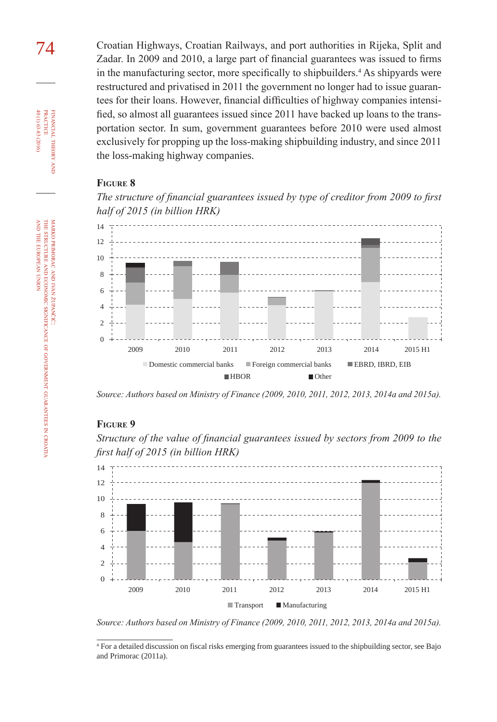74 Croatian Highways, Croatian Railways, and port authorities in Rijeka, Split and Zadar. In 2009 and 2010, a large part of financial guarantees was issued to firms in the manufacturing sector, more specifically to shipbuilders.<sup>4</sup> As shipyards were restructured and privatised in 2011 the government no longer had to issue guarantees for their loans. However, financial difficulties of highway companies intensified, so almost all guarantees issued since 2011 have backed up loans to the transportation sector. In sum, government guarantees before 2010 were used almost exclusively for propping up the loss-making shipbuilding industry, and since 2011 the loss-making highway companies.

#### **Figure 8**

*The structure of financial guarantees issued by type of creditor from 2009 to first half of 2015 (in billion HRK)*



*Source: Authors based on Ministry of Finance (2009, 2010, 2011, 2012, 2013, 2014a and 2015a).*

#### **Figure 9**

*Structure of the value of financial guarantees issued by sectors from 2009 to the first half of 2015 (in billion HRK)*



*Source: Authors based on Ministry of Finance (2009, 2010, 2011, 2012, 2013, 2014a and 2015a).*

financial

FINANCIAL THEORY PRACTICE 40 (1) 63-83 (2016)

40 (1) 63-83 (2016) practice

theory and

government

guarantees

z croatia

<sup>4</sup> For a detailed discussion on fiscal risks emerging from guarantees issued to the shipbuilding sector, see Bajo and Primorac (2011a).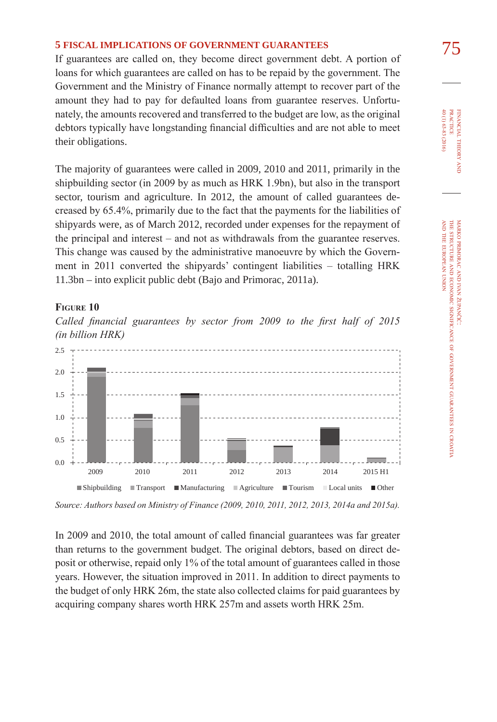75 **5 fIscal IMPlIcatIons of GoVeRnMent GUaRantees** If guarantees are called on, they become direct government debt. A portion of loans for which guarantees are called on has to be repaid by the government. The Government and the Ministry of Finance normally attempt to recover part of the amount they had to pay for defaulted loans from guarantee reserves. Unfortunately, the amounts recovered and transferred to the budget are low, as the original debtors typically have longstanding financial difficulties and are not able to meet their obligations.

The majority of guarantees were called in 2009, 2010 and 2011, primarily in the shipbuilding sector (in 2009 by as much as HRK 1.9bn), but also in the transport sector, tourism and agriculture. In 2012, the amount of called guarantees decreased by 65.4%, primarily due to the fact that the payments for the liabilities of shipyards were, as of March 2012, recorded under expenses for the repayment of the principal and interest – and not as withdrawals from the guarantee reserves. This change was caused by the administrative manoeuvre by which the Government in 2011 converted the shipyards' contingent liabilities – totalling HRK 11.3bn – into explicit public debt (Bajo and Primorac, 2011a).

#### **Figure 10**

*Called financial guarantees by sector from 2009 to the first half of 2015 (in billion HRK)*



*Source: Authors based on Ministry of Finance (2009, 2010, 2011, 2012, 2013, 2014a and 2015a).*

In 2009 and 2010, the total amount of called financial guarantees was far greater than returns to the government budget. The original debtors, based on direct deposit or otherwise, repaid only 1% of the total amount of guarantees called in those years. However, the situation improved in 2011. In addition to direct payments to the budget of only HRK 26m, the state also collected claims for paid guarantees by acquiring company shares worth HRK 257m and assets worth HRK 25m.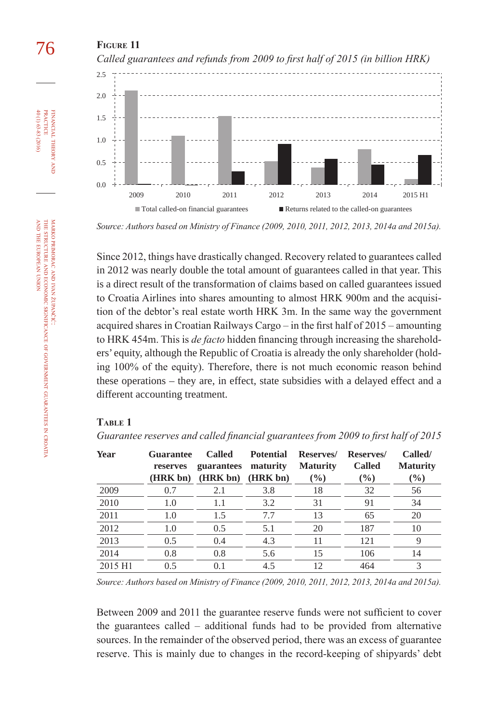

*Source: Authors based on Ministry of Finance (2009, 2010, 2011, 2012, 2013, 2014a and 2015a).*

Since 2012, things have drastically changed. Recovery related to guarantees called in 2012 was nearly double the total amount of guarantees called in that year. This is a direct result of the transformation of claims based on called guarantees issued to Croatia Airlines into shares amounting to almost HRK 900m and the acquisition of the debtor's real estate worth HRK 3m. In the same way the government acquired shares in Croatian Railways Cargo – in the first half of 2015 – amounting to HRK 454m. This is *de facto* hidden financing through increasing the shareholders' equity, although the Republic of Croatia is already the only shareholder (holding 100% of the equity). Therefore, there is not much economic reason behind these operations – they are, in effect, state subsidies with a delayed effect and a different accounting treatment.

#### **Table 1**

*Guarantee reserves and called financial guarantees from 2009 to first half of 2015*

| Year    | <b>Guarantee</b><br>reserves | <b>Called</b><br>guarantees | <b>Potential</b><br>maturity | Reserves/<br><b>Maturity</b> | Reserves/<br><b>Called</b> | Called/<br><b>Maturity</b> |
|---------|------------------------------|-----------------------------|------------------------------|------------------------------|----------------------------|----------------------------|
|         | (HRK bn)                     | (HRK bn)                    | (HRK bn)                     | $\frac{6}{6}$                | $($ %)                     | $(\%)$                     |
| 2009    | 0.7                          | 2.1                         | 3.8                          | 18                           | 32                         | 56                         |
| 2010    | 1.0                          | 1.1                         | 3.2                          | 31                           | 91                         | 34                         |
| 2011    | 1.0                          | 1.5                         | 7.7                          | 13                           | 65                         | 20                         |
| 2012    | 1.0                          | 0.5                         | 5.1                          | 20                           | 187                        | 10                         |
| 2013    | 0.5                          | 0.4                         | 4.3                          | 11                           | 121                        | 9                          |
| 2014    | 0.8                          | 0.8                         | 5.6                          | 15                           | 106                        | 14                         |
| 2015 H1 | 0.5                          | 0.1                         | 4.5                          | 12                           | 464                        | 3                          |

*Source: Authors based on Ministry of Finance (2009, 2010, 2011, 2012, 2013, 2014a and 2015a).*

Between 2009 and 2011 the guarantee reserve funds were not sufficient to cover the guarantees called – additional funds had to be provided from alternative sources. In the remainder of the observed period, there was an excess of guarantee reserve. This is mainly due to changes in the record-keeping of shipyards' debt

financial

40 (1) 63-83 (2016) practice

40 (1) 63-83 (2016) **PRACTICE** FINANCIAL THEORY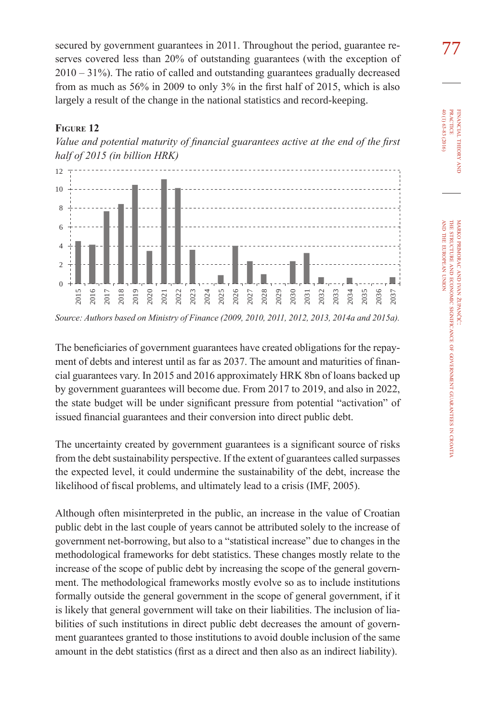secured by government guarantees in 2011. Throughout the period, guarantee re-  $\frac{77}{10}$ serves covered less than 20% of outstanding guarantees (with the exception of 2010 – 31%). The ratio of called and outstanding guarantees gradually decreased from as much as 56% in 2009 to only 3% in the first half of 2015, which is also largely a result of the change in the national statistics and record-keeping.

#### **Figure 12**





*Source: Authors based on Ministry of Finance (2009, 2010, 2011, 2012, 2013, 2014a and 2015a).*

The beneficiaries of government guarantees have created obligations for the repayment of debts and interest until as far as 2037. The amount and maturities of financial guarantees vary. In 2015 and 2016 approximately HRK 8bn of loans backed up by government guarantees will become due. From 2017 to 2019, and also in 2022, the state budget will be under significant pressure from potential "activation" of issued financial guarantees and their conversion into direct public debt.

The uncertainty created by government guarantees is a significant source of risks from the debt sustainability perspective. If the extent of guarantees called surpasses the expected level, it could undermine the sustainability of the debt, increase the likelihood of fiscal problems, and ultimately lead to a crisis (IMF, 2005).

Although often misinterpreted in the public, an increase in the value of Croatian public debt in the last couple of years cannot be attributed solely to the increase of government net-borrowing, but also to a "statistical increase" due to changes in the methodological frameworks for debt statistics. These changes mostly relate to the increase of the scope of public debt by increasing the scope of the general government. The methodological frameworks mostly evolve so as to include institutions formally outside the general government in the scope of general government, if it is likely that general government will take on their liabilities. The inclusion of liabilities of such institutions in direct public debt decreases the amount of government guarantees granted to those institutions to avoid double inclusion of the same amount in the debt statistics (first as a direct and then also as an indirect liability).

financial

40 (1) 63-83 (2016) practice

40 (1) 63-83 (2016) **PRACTICE** FINANCIAL THEORY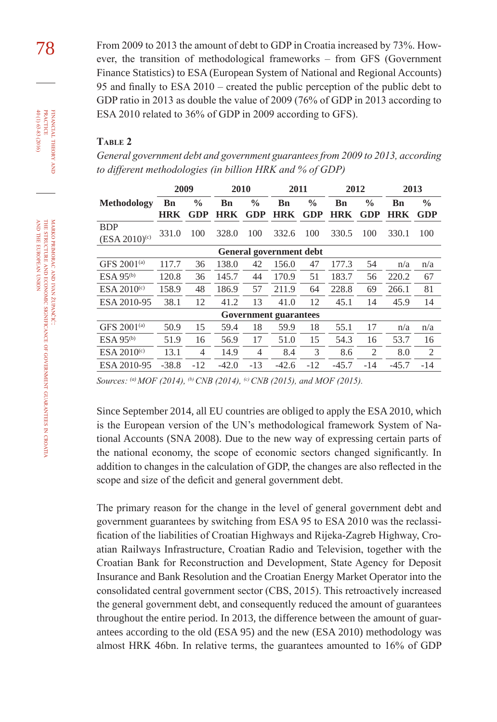78 From 2009 to 2013 the amount of debt to GDP in Croatia increased by 73%. However, the transition of methodological frameworks – from GFS (Government Finance Statistics) to ESA (European System of National and Regional Accounts) 95 and finally to ESA 2010 – created the public perception of the public debt to GDP ratio in 2013 as double the value of 2009 (76% of GDP in 2013 according to ESA 2010 related to 36% of GDP in 2009 according to GFS).

#### **Table 2**

*General government debt and government guarantees from 2009 to 2013, according to different methodologies (in billion HRK and % of GDP)*

|                                | 2009       |               | 2010       |                | 2011    |               | 2012       |               | 2013       |               |
|--------------------------------|------------|---------------|------------|----------------|---------|---------------|------------|---------------|------------|---------------|
| Methodology                    | Bn         | $\frac{0}{0}$ | Bn         | $\frac{0}{0}$  | Bn      | $\frac{0}{0}$ | Bn         | $\frac{0}{0}$ | <b>B</b> n | $\frac{0}{0}$ |
|                                | <b>HRK</b> | GDP           | <b>HRK</b> | GDP            | HRK     | GDP           | <b>HRK</b> | GDP           | <b>HRK</b> | <b>GDP</b>    |
| <b>BDP</b>                     | 331.0      | 100           | 328.0      | 100            | 332.6   | 100           | 330.5      | 100           | 330.1      | 100           |
| $(ESA 2010)^{c}$               |            |               |            |                |         |               |            |               |            |               |
| <b>General government debt</b> |            |               |            |                |         |               |            |               |            |               |
| GFS 2001 <sup>(a)</sup>        | 117.7      | 36            | 138.0      | 42             | 156.0   | 47            | 177.3      | 54            | n/a        | n/a           |
| $ESA 95^{(b)}$                 | 120.8      | 36            | 145.7      | 44             | 170.9   | 51            | 183.7      | 56            | 220.2      | 67            |
| ESA 2010 <sup>(c)</sup>        | 158.9      | 48            | 186.9      | 57             | 211.9   | 64            | 228.8      | 69            | 266.1      | 81            |
| ESA 2010-95                    | 38.1       | 12            | 41.2       | 13             | 41.0    | 12            | 45.1       | 14            | 45.9       | 14            |
| <b>Government guarantees</b>   |            |               |            |                |         |               |            |               |            |               |
| GFS 2001 <sup>(a)</sup>        | 50.9       | 15            | 59.4       | 18             | 59.9    | 18            | 55.1       | 17            | n/a        | n/a           |
| ESA 95 <sup>(b)</sup>          | 51.9       | 16            | 56.9       | 17             | 51.0    | 15            | 54.3       | 16            | 53.7       | 16            |
| ESA 2010 <sup>(c)</sup>        | 13.1       | 4             | 14.9       | $\overline{4}$ | 8.4     | $\mathcal{R}$ | 8.6        | 2             | 8.0        | 2             |
| ESA 2010-95                    | $-38.8$    | $-12$         | $-42.0$    | $-13$          | $-42.6$ | $-12$         | $-45.7$    | $-14$         | $-45.7$    | $-14$         |

*Sources: (a) MOF (2014), (b) CNB (2014), (c) CNB (2015), and MOF (2015).*

Since September 2014, all EU countries are obliged to apply the ESA 2010, which is the European version of the UN's methodological framework System of National Accounts (SNA 2008). Due to the new way of expressing certain parts of the national economy, the scope of economic sectors changed significantly. In addition to changes in the calculation of GDP, the changes are also reflected in the scope and size of the deficit and general government debt.

The primary reason for the change in the level of general government debt and government guarantees by switching from ESA 95 to ESA 2010 was the reclassification of the liabilities of Croatian Highways and Rijeka-Zagreb Highway, Croatian Railways Infrastructure, Croatian Radio and Television, together with the Croatian Bank for Reconstruction and Development, State Agency for Deposit Insurance and Bank Resolution and the Croatian Energy Market Operator into the consolidated central government sector (CBS, 2015). This retroactively increased the general government debt, and consequently reduced the amount of guarantees throughout the entire period. In 2013, the difference between the amount of guarantees according to the old (ESA 95) and the new (ESA 2010) methodology was almost HRK 46bn. In relative terms, the guarantees amounted to 16% of GDP

financial

FINANCIAL THEORY<br>PRACTICE 40 (1) 63-83 (2016)

40 (1) 63-83 (2016) practice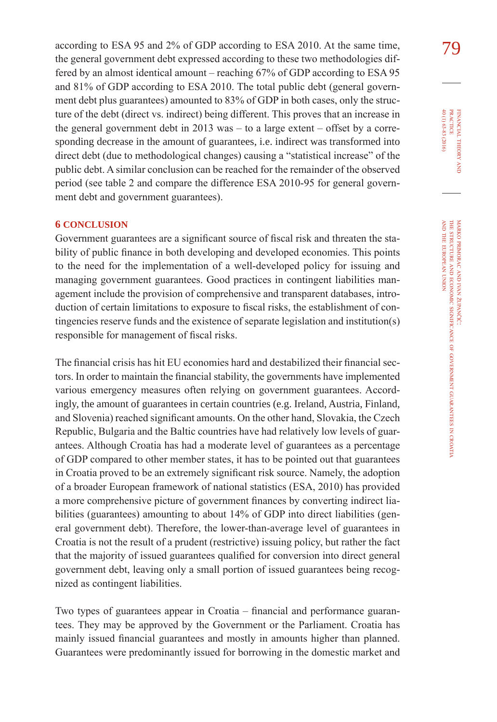according to ESA 95 and 2% of GDP according to ESA 2010. At the same time,  $79$ the general government debt expressed according to these two methodologies differed by an almost identical amount – reaching 67% of GDP according to ESA 95 and 81% of GDP according to ESA 2010. The total public debt (general government debt plus guarantees) amounted to 83% of GDP in both cases, only the structure of the debt (direct vs. indirect) being different. This proves that an increase in the general government debt in  $2013$  was – to a large extent – offset by a corresponding decrease in the amount of guarantees, i.e. indirect was transformed into direct debt (due to methodological changes) causing a "statistical increase" of the public debt. A similar conclusion can be reached for the remainder of the observed period (see table 2 and compare the difference ESA 2010-95 for general government debt and government guarantees).

#### **6 conclUsIon**

Government guarantees are a significant source of fiscal risk and threaten the stability of public finance in both developing and developed economies. This points to the need for the implementation of a well-developed policy for issuing and managing government guarantees. Good practices in contingent liabilities management include the provision of comprehensive and transparent databases, introduction of certain limitations to exposure to fiscal risks, the establishment of contingencies reserve funds and the existence of separate legislation and institution(s) responsible for management of fiscal risks.

The financial crisis has hit EU economies hard and destabilized their financial sectors. In order to maintain the financial stability, the governments have implemented various emergency measures often relying on government guarantees. Accordingly, the amount of guarantees in certain countries (e.g. Ireland, Austria, Finland, and Slovenia) reached significant amounts. On the other hand, Slovakia, the Czech Republic, Bulgaria and the Baltic countries have had relatively low levels of guarantees. Although Croatia has had a moderate level of guarantees as a percentage of GDP compared to other member states, it has to be pointed out that guarantees in Croatia proved to be an extremely significant risk source. Namely, the adoption of a broader European framework of national statistics (ESA, 2010) has provided a more comprehensive picture of government finances by converting indirect liabilities (guarantees) amounting to about 14% of GDP into direct liabilities (general government debt). Therefore, the lower-than-average level of guarantees in Croatia is not the result of a prudent (restrictive) issuing policy, but rather the fact that the majority of issued guarantees qualified for conversion into direct general government debt, leaving only a small portion of issued guarantees being recognized as contingent liabilities.

Two types of guarantees appear in Croatia – financial and performance guarantees. They may be approved by the Government or the Parliament. Croatia has mainly issued financial guarantees and mostly in amounts higher than planned. Guarantees were predominantly issued for borrowing in the domestic market and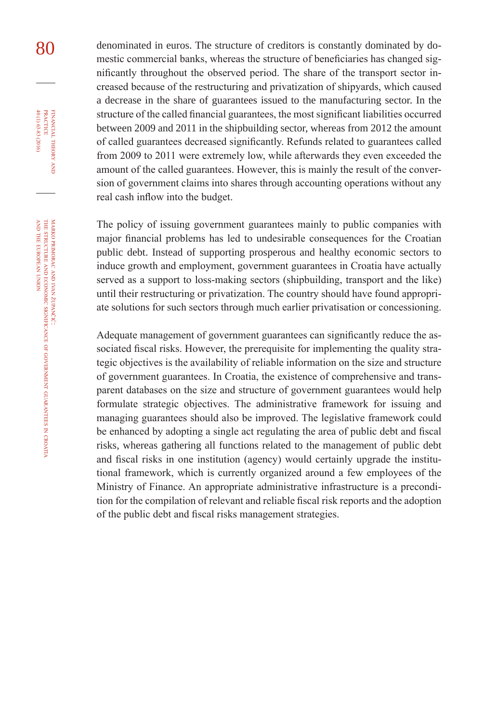80 denominated in euros. The structure of creditors is constantly dominated by domestic commercial banks, whereas the structure of beneficiaries has changed significantly throughout the observed period. The share of the transport sector increased because of the restructuring and privatization of shipyards, which caused a decrease in the share of guarantees issued to the manufacturing sector. In the structure of the called financial guarantees, the most significant liabilities occurred between 2009 and 2011 in the shipbuilding sector, whereas from 2012 the amount of called guarantees decreased significantly. Refunds related to guarantees called from 2009 to 2011 were extremely low, while afterwards they even exceeded the amount of the called guarantees. However, this is mainly the result of the conversion of government claims into shares through accounting operations without any real cash inflow into the budget.

> The policy of issuing government guarantees mainly to public companies with major financial problems has led to undesirable consequences for the Croatian public debt. Instead of supporting prosperous and healthy economic sectors to induce growth and employment, government guarantees in Croatia have actually served as a support to loss-making sectors (shipbuilding, transport and the like) until their restructuring or privatization. The country should have found appropriate solutions for such sectors through much earlier privatisation or concessioning.

> Adequate management of government guarantees can significantly reduce the associated fiscal risks. However, the prerequisite for implementing the quality strategic objectives is the availability of reliable information on the size and structure of government guarantees. In Croatia, the existence of comprehensive and transparent databases on the size and structure of government guarantees would help formulate strategic objectives. The administrative framework for issuing and managing guarantees should also be improved. The legislative framework could be enhanced by adopting a single act regulating the area of public debt and fiscal risks, whereas gathering all functions related to the management of public debt and fiscal risks in one institution (agency) would certainly upgrade the institutional framework, which is currently organized around a few employees of the Ministry of Finance. An appropriate administrative infrastructure is a precondition for the compilation of relevant and reliable fiscal risk reports and the adoption of the public debt and fiscal risks management strategies.

financial

FINANCIAL THEORY<br>PRACTICE 40 (1) 63-83 (2016)

40 (1) 63-83 (2016) practice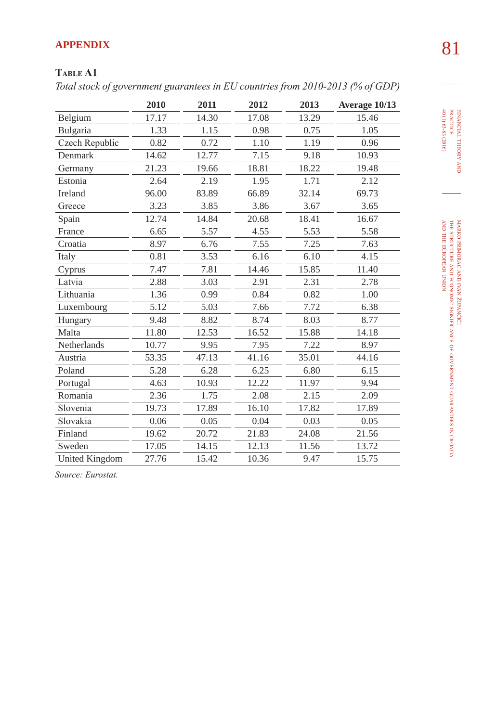# 81 **aPPenDIX**

### **Table a1**

*Total stock of government guarantees in EU countries from 2010-2013 (% of GDP)*

|                       | 2010  | 2011  | 2012  | 2013  | Average 10/13 |
|-----------------------|-------|-------|-------|-------|---------------|
| Belgium               | 17.17 | 14.30 | 17.08 | 13.29 | 15.46         |
| Bulgaria              | 1.33  | 1.15  | 0.98  | 0.75  | 1.05          |
| Czech Republic        | 0.82  | 0.72  | 1.10  | 1.19  | 0.96          |
| Denmark               | 14.62 | 12.77 | 7.15  | 9.18  | 10.93         |
| Germany               | 21.23 | 19.66 | 18.81 | 18.22 | 19.48         |
| Estonia               | 2.64  | 2.19  | 1.95  | 1.71  | 2.12          |
| Ireland               | 96.00 | 83.89 | 66.89 | 32.14 | 69.73         |
| Greece                | 3.23  | 3.85  | 3.86  | 3.67  | 3.65          |
| Spain                 | 12.74 | 14.84 | 20.68 | 18.41 | 16.67         |
| France                | 6.65  | 5.57  | 4.55  | 5.53  | 5.58          |
| Croatia               | 8.97  | 6.76  | 7.55  | 7.25  | 7.63          |
| Italy                 | 0.81  | 3.53  | 6.16  | 6.10  | 4.15          |
| Cyprus                | 7.47  | 7.81  | 14.46 | 15.85 | 11.40         |
| Latvia                | 2.88  | 3.03  | 2.91  | 2.31  | 2.78          |
| Lithuania             | 1.36  | 0.99  | 0.84  | 0.82  | 1.00          |
| Luxembourg            | 5.12  | 5.03  | 7.66  | 7.72  | 6.38          |
| Hungary               | 9.48  | 8.82  | 8.74  | 8.03  | 8.77          |
| Malta                 | 11.80 | 12.53 | 16.52 | 15.88 | 14.18         |
| Netherlands           | 10.77 | 9.95  | 7.95  | 7.22  | 8.97          |
| Austria               | 53.35 | 47.13 | 41.16 | 35.01 | 44.16         |
| Poland                | 5.28  | 6.28  | 6.25  | 6.80  | 6.15          |
| Portugal              | 4.63  | 10.93 | 12.22 | 11.97 | 9.94          |
| Romania               | 2.36  | 1.75  | 2.08  | 2.15  | 2.09          |
| Slovenia              | 19.73 | 17.89 | 16.10 | 17.82 | 17.89         |
| Slovakia              | 0.06  | 0.05  | 0.04  | 0.03  | 0.05          |
| Finland               | 19.62 | 20.72 | 21.83 | 24.08 | 21.56         |
| Sweden                | 17.05 | 14.15 | 12.13 | 11.56 | 13.72         |
| <b>United Kingdom</b> | 27.76 | 15.42 | 10.36 | 9.47  | 15.75         |

*Source: Eurostat.*

financial

theory FINANCIAL THEORY AND PRACTICE<br>PRACTICE<br>40 (1) 63-83 (2016) 40 (1) 63-83 (2016) practice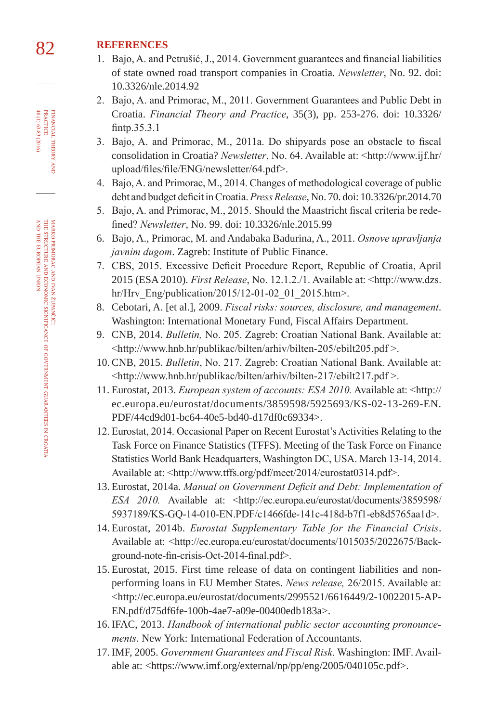## 82 **RefeRences**

- 1. Bajo, A. and Petrušić, J., 2014. Government guarantees and financial liabilities of state owned road transport companies in Croatia. *Newsletter*, No. 92. doi: [10.3326/nle.2014.92](http://dx.doi.org/10.3326/nle.2014.92)
- 2. Bajo, A. and Primorac, M., 2011. Government Guarantees and Public Debt in Croatia. *Financial Theory and Practice*, 35(3), pp. 253-276. doi: [10.3326/](http://dx.doi.org/10.3326/fintp.35.3.1) [fintp.35.3.1](http://dx.doi.org/10.3326/fintp.35.3.1)
- 3. Bajo, A. and Primorac, M., 2011a. Do shipyards pose an obstacle to fiscal consolidation in Croatia? *Newsletter*, No. 64. Available at: <http://www.ijf.hr/ upload/files/file/ENG/newsletter/64.pdf>.
- 4. Bajo, A. and Primorac, M., 2014. Changes of methodological coverage of public debt and budget deficit in Croatia. *Press Release*, No. 70. doi: [10.3326/pr.2014.70](http://dx.doi.org/10.3326/pr.2014.70)
- 5. Bajo, A. and Primorac, M., 2015. Should the Maastricht fiscal criteria be redefined? *Newsletter*, No. 99. doi: [10.3326/nle.2015.99](http://dx.doi.org/10.3326/nle.2015.99)
- 6. Bajo, A., Primorac, M. and Andabaka Badurina, A., 2011. *Osnove upravljanja javnim dugom*. Zagreb: Institute of Public Finance.
- 7. CBS, 2015. Excessive Deficit Procedure Report, Republic of Croatia, April 2015 (ESA 2010). *First Release*, No. 12.1.2./1. Available at: <http://www.dzs. hr/Hrv\_Eng/publication/2015/12-01-02\_01\_2015.htm>.
- 8. Cebotari, A. [et al.], 2009. *Fiscal risks: sources, disclosure, and management*. Washington: International Monetary Fund, Fiscal Affairs Department.
- 9. CNB, 2014. *Bulletin,* No. 205. Zagreb: Croatian National Bank. Available at: <http://www.hnb.hr/publikac/bilten/arhiv/bilten-205/ebilt205.pdf >.
- 10. CNB, 2015. *Bulletin*, No. 217. Zagreb: Croatian National Bank. Available at: <http://www.hnb.hr/publikac/bilten/arhiv/bilten-217/ebilt217.pdf >.
- 11. Eurostat, 2013. *European system of accounts: ESA 2010.* Available at: <http:// ec.europa.eu/eurostat/documents/3859598/5925693/KS-02-13-269-EN. PDF/44cd9d01-bc64-40e5-bd40-d17df0c69334>.
- 12. Eurostat, 2014. Occasional Paper on Recent Eurostat's Activities Relating to the Task Force on Finance Statistics (TFFS). Meeting of the Task Force on Finance Statistics World Bank Headquarters, Washington DC, USA. March 13-14, 2014. Available at: <http://www.tffs.org/pdf/meet/2014/eurostat0314.pdf>.
- 13. Eurostat, 2014a. *Manual on Government Deficit and Debt: Implementation of ESA 2010.* Available at: <http://ec.europa.eu/eurostat/documents/3859598/ 5937189/KS-GQ-14-010-EN.PDF/c1466fde-141c-418d-b7f1-eb8d5765aa1d>.
- 14. Eurostat, 2014b. *Eurostat Supplementary Table for the Financial Crisis*. Available at: <http://ec.europa.eu/eurostat/documents/1015035/2022675/Background-note-fin-crisis-Oct-2014-final.pdf>.
- 15. Eurostat, 2015. First time release of data on contingent liabilities and nonperforming loans in EU Member States. *News release,* 26/2015. Available at: <http://ec.europa.eu/eurostat/documents/2995521/6616449/2-10022015-AP-EN.pdf/d75df6fe-100b-4ae7-a09e-00400edb183a>.
- 16. IFAC, 2013. *Handbook of international public sector accounting pronouncements*. New York: International Federation of Accountants.
- 17. IMF, 2005. *Government Guarantees and Fiscal Risk*. Washington: IMF. Available at: <https://www.imf.org/external/np/pp/eng/2005/040105c.pdf>.

financial

FINANCIAL THEORY<br>PRACTICE 40 (1) 63-83 (2016)

40 (1) 63-83 (2016) practice

theory

of

government

guarantees

z croatia